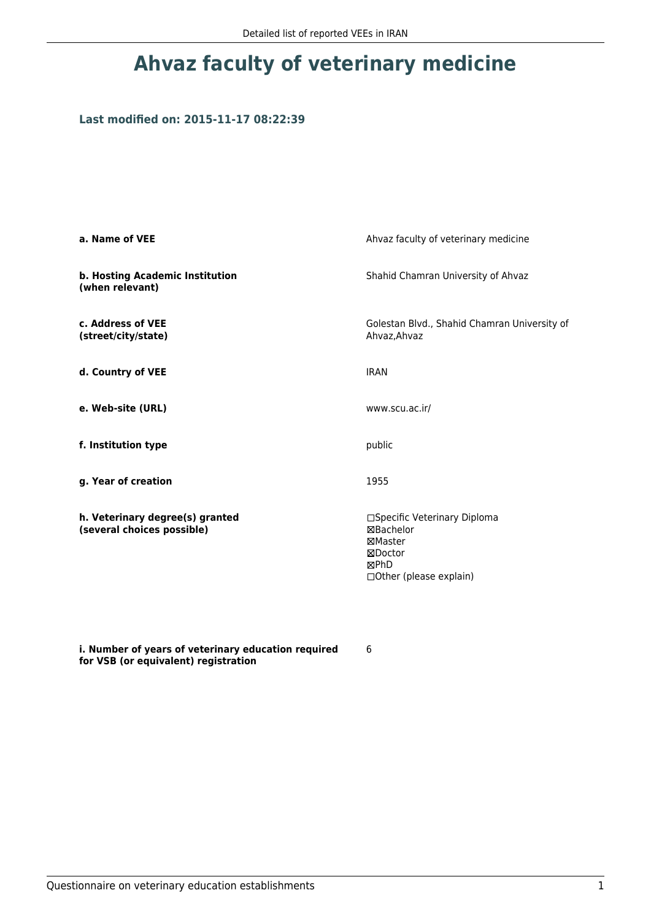# **Ahvaz faculty of veterinary medicine**

## **Last modified on: 2015-11-17 08:22:39**

| a. Name of VEE                                                | Ahvaz faculty of veterinary medicine                                                                |  |
|---------------------------------------------------------------|-----------------------------------------------------------------------------------------------------|--|
| b. Hosting Academic Institution<br>(when relevant)            | Shahid Chamran University of Ahvaz                                                                  |  |
| c. Address of VEE<br>(street/city/state)                      | Golestan Blvd., Shahid Chamran University of<br>Ahvaz, Ahvaz                                        |  |
| d. Country of VEE                                             | <b>IRAN</b>                                                                                         |  |
| e. Web-site (URL)                                             | www.scu.ac.ir/                                                                                      |  |
| f. Institution type                                           | public                                                                                              |  |
| g. Year of creation                                           | 1955                                                                                                |  |
| h. Veterinary degree(s) granted<br>(several choices possible) | □Specific Veterinary Diploma<br>⊠Bachelor<br>⊠Master<br>⊠Doctor<br>⊠PhD<br>□ Other (please explain) |  |

**i. Number of years of veterinary education required for VSB (or equivalent) registration**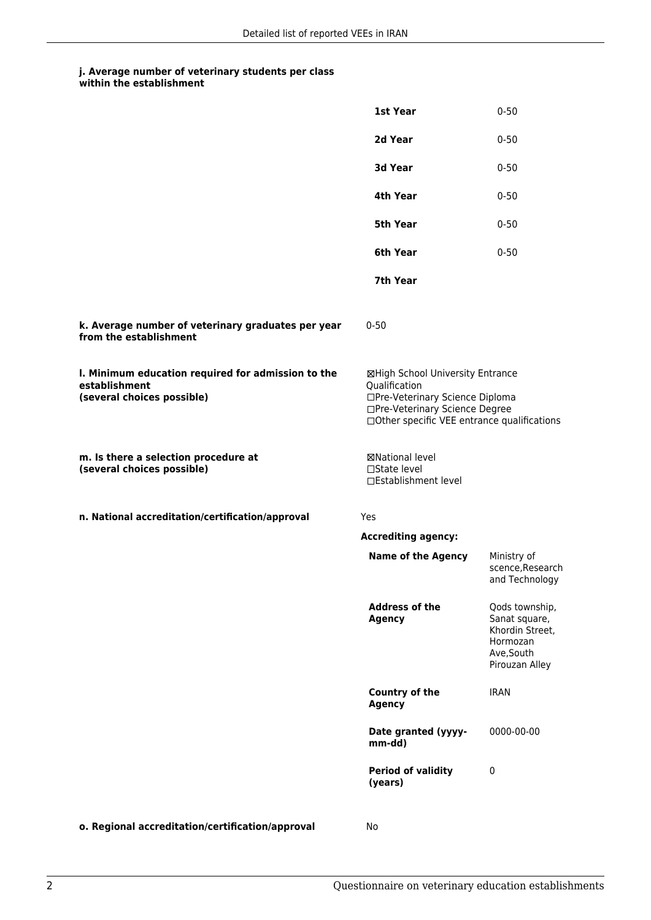|                                                                                                   | 1st Year                                                                                                                                                              | $0 - 50$                                                                                       |
|---------------------------------------------------------------------------------------------------|-----------------------------------------------------------------------------------------------------------------------------------------------------------------------|------------------------------------------------------------------------------------------------|
|                                                                                                   | 2d Year                                                                                                                                                               | $0 - 50$                                                                                       |
|                                                                                                   | 3d Year                                                                                                                                                               | $0 - 50$                                                                                       |
|                                                                                                   | 4th Year                                                                                                                                                              | $0 - 50$                                                                                       |
|                                                                                                   | <b>5th Year</b>                                                                                                                                                       | $0 - 50$                                                                                       |
|                                                                                                   | 6th Year                                                                                                                                                              | $0 - 50$                                                                                       |
|                                                                                                   | 7th Year                                                                                                                                                              |                                                                                                |
| k. Average number of veterinary graduates per year<br>from the establishment                      | $0 - 50$                                                                                                                                                              |                                                                                                |
| I. Minimum education required for admission to the<br>establishment<br>(several choices possible) | ⊠High School University Entrance<br>Qualification<br>□Pre-Veterinary Science Diploma<br>□Pre-Veterinary Science Degree<br>□Other specific VEE entrance qualifications |                                                                                                |
| m. Is there a selection procedure at<br>(several choices possible)                                | <b>⊠National level</b><br>□State level<br>□Establishment level                                                                                                        |                                                                                                |
| n. National accreditation/certification/approval                                                  | Yes                                                                                                                                                                   |                                                                                                |
|                                                                                                   | <b>Accrediting agency:</b>                                                                                                                                            |                                                                                                |
|                                                                                                   | <b>Name of the Agency</b>                                                                                                                                             | Ministry of<br>scence, Research<br>and Technology                                              |
|                                                                                                   | <b>Address of the</b><br><b>Agency</b>                                                                                                                                | Qods township,<br>Sanat square,<br>Khordin Street,<br>Hormozan<br>Ave, South<br>Pirouzan Alley |
|                                                                                                   | Country of the<br><b>Agency</b>                                                                                                                                       | <b>IRAN</b>                                                                                    |
|                                                                                                   | Date granted (yyyy-<br>mm-dd)                                                                                                                                         | 0000-00-00                                                                                     |
|                                                                                                   | <b>Period of validity</b><br>(years)                                                                                                                                  | $\mathbf 0$                                                                                    |
| o. Regional accreditation/certification/approval                                                  | No                                                                                                                                                                    |                                                                                                |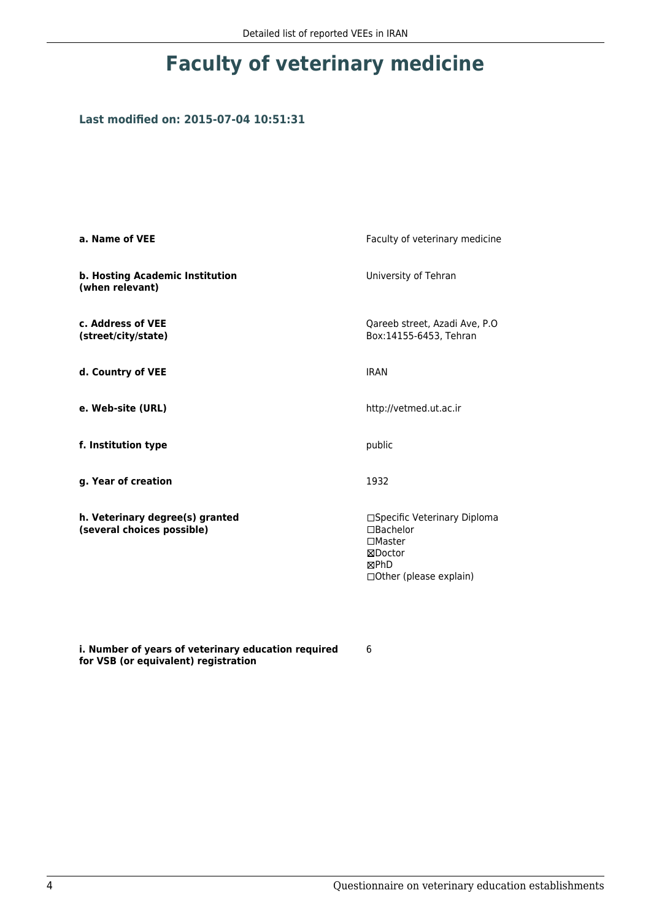# **Faculty of veterinary medicine**

## **Last modified on: 2015-07-04 10:51:31**

| a. Name of VEE                                                | Faculty of veterinary medicine                                                                                     |
|---------------------------------------------------------------|--------------------------------------------------------------------------------------------------------------------|
| b. Hosting Academic Institution<br>(when relevant)            | University of Tehran                                                                                               |
| c. Address of VEE<br>(street/city/state)                      | Qareeb street, Azadi Ave, P.O.<br>Box:14155-6453, Tehran                                                           |
| d. Country of VEE                                             | <b>IRAN</b>                                                                                                        |
| e. Web-site (URL)                                             | http://vetmed.ut.ac.ir                                                                                             |
| f. Institution type                                           | public                                                                                                             |
| g. Year of creation                                           | 1932                                                                                                               |
| h. Veterinary degree(s) granted<br>(several choices possible) | □Specific Veterinary Diploma<br>$\Box$ Bachelor<br>$\square$ Master<br>⊠Doctor<br>⊠PhD<br>□ Other (please explain) |

**i. Number of years of veterinary education required for VSB (or equivalent) registration**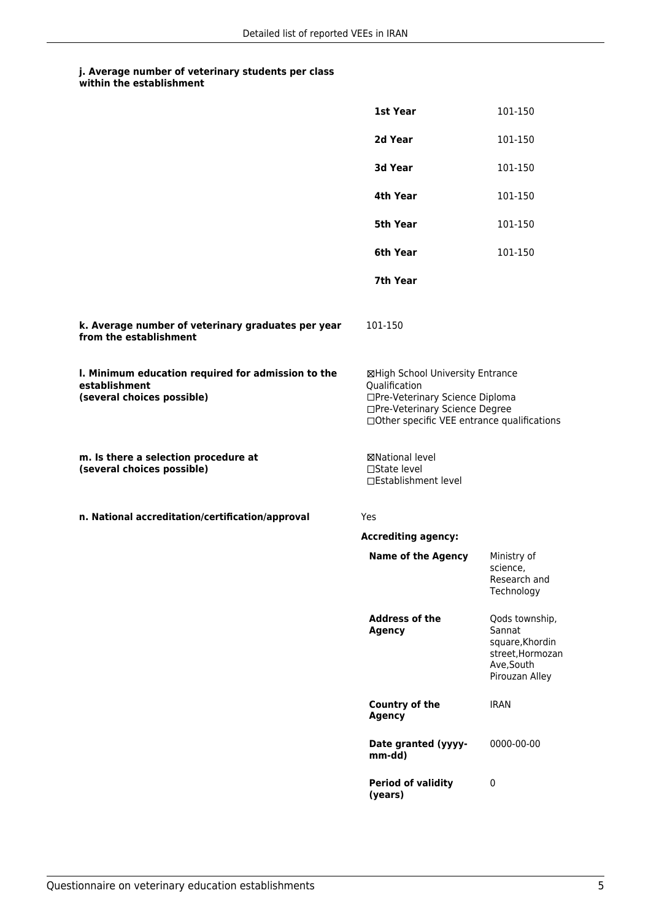|                                                                                                   | 1st Year                                                                                                                                                              | 101-150                                                                                         |
|---------------------------------------------------------------------------------------------------|-----------------------------------------------------------------------------------------------------------------------------------------------------------------------|-------------------------------------------------------------------------------------------------|
|                                                                                                   | 2d Year                                                                                                                                                               | 101-150                                                                                         |
|                                                                                                   | 3d Year                                                                                                                                                               | 101-150                                                                                         |
|                                                                                                   | 4th Year                                                                                                                                                              | 101-150                                                                                         |
|                                                                                                   | <b>5th Year</b>                                                                                                                                                       | 101-150                                                                                         |
|                                                                                                   | 6th Year                                                                                                                                                              | 101-150                                                                                         |
|                                                                                                   | 7th Year                                                                                                                                                              |                                                                                                 |
| k. Average number of veterinary graduates per year<br>from the establishment                      | 101-150                                                                                                                                                               |                                                                                                 |
| I. Minimum education required for admission to the<br>establishment<br>(several choices possible) | ⊠High School University Entrance<br>Qualification<br>□Pre-Veterinary Science Diploma<br>□Pre-Veterinary Science Degree<br>□Other specific VEE entrance qualifications |                                                                                                 |
| m. Is there a selection procedure at<br>(several choices possible)                                | ⊠National level<br>$\Box$ State level<br>□Establishment level                                                                                                         |                                                                                                 |
| n. National accreditation/certification/approval                                                  | Yes                                                                                                                                                                   |                                                                                                 |
|                                                                                                   | <b>Accrediting agency:</b>                                                                                                                                            |                                                                                                 |
|                                                                                                   | <b>Name of the Agency</b>                                                                                                                                             | Ministry of<br>science,<br>Research and<br>Technology                                           |
|                                                                                                   | <b>Address of the</b><br><b>Agency</b>                                                                                                                                | Qods township,<br>Sannat<br>square, Khordin<br>street, Hormozan<br>Ave, South<br>Pirouzan Alley |
|                                                                                                   | <b>Country of the</b><br><b>Agency</b>                                                                                                                                | <b>IRAN</b>                                                                                     |
|                                                                                                   | Date granted (yyyy-<br>mm-dd)                                                                                                                                         | 0000-00-00                                                                                      |
|                                                                                                   | <b>Period of validity</b><br>(years)                                                                                                                                  | 0                                                                                               |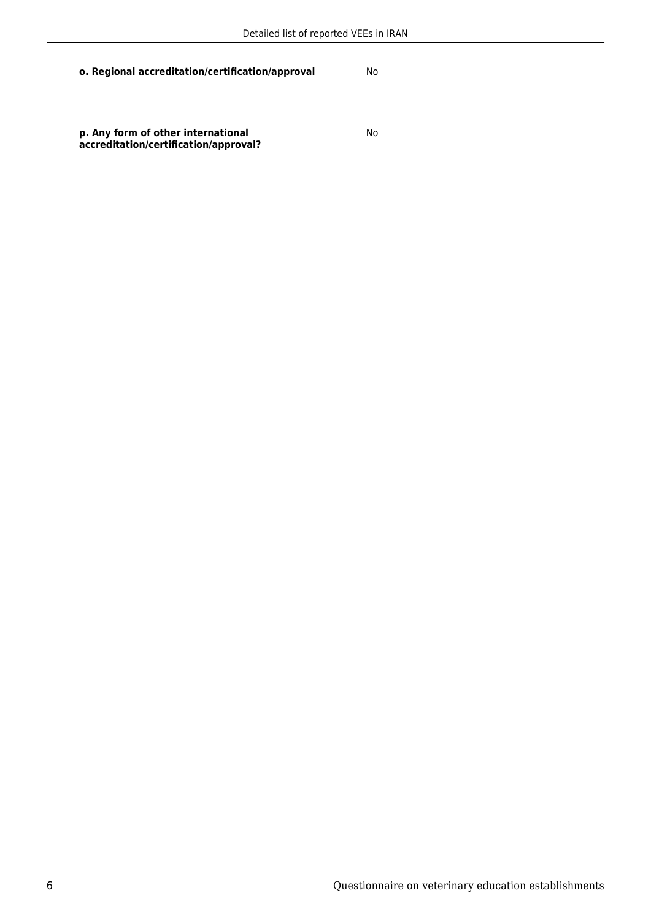**o. Regional accreditation/certification/approval** No

**p. Any form of other international accreditation/certification/approval?**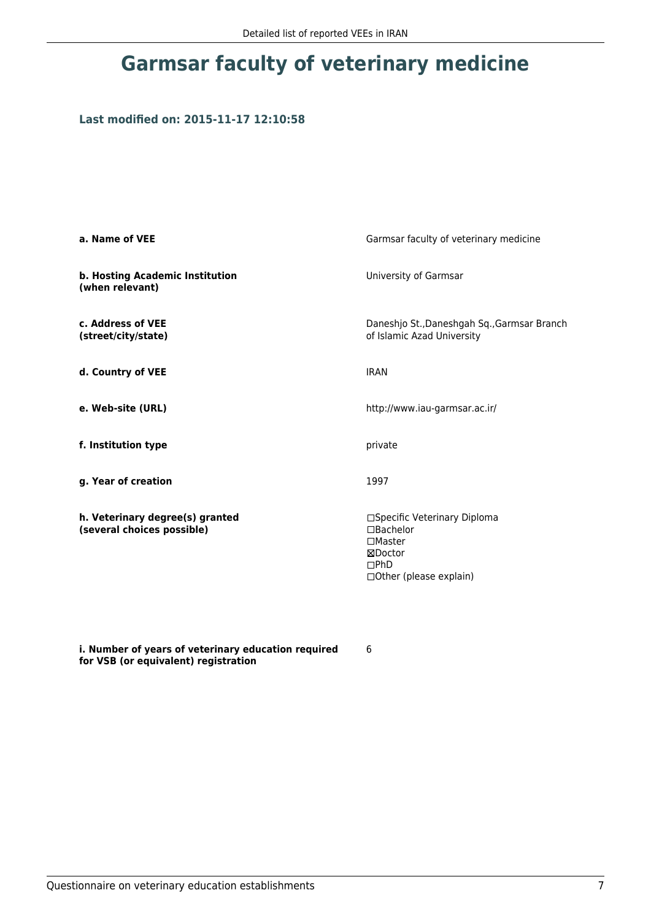# **Garmsar faculty of veterinary medicine**

## **Last modified on: 2015-11-17 12:10:58**

| a. Name of VEE                                                | Garmsar faculty of veterinary medicine                                                                             |  |
|---------------------------------------------------------------|--------------------------------------------------------------------------------------------------------------------|--|
| b. Hosting Academic Institution<br>(when relevant)            | University of Garmsar                                                                                              |  |
| c. Address of VEE<br>(street/city/state)                      | Daneshjo St., Daneshgah Sq., Garmsar Branch<br>of Islamic Azad University                                          |  |
| d. Country of VEE                                             | <b>IRAN</b>                                                                                                        |  |
| e. Web-site (URL)                                             | http://www.iau-garmsar.ac.ir/                                                                                      |  |
| f. Institution type                                           | private                                                                                                            |  |
| g. Year of creation                                           | 1997                                                                                                               |  |
| h. Veterinary degree(s) granted<br>(several choices possible) | □Specific Veterinary Diploma<br>$\Box$ Bachelor<br>$\square$ Master<br>⊠Doctor<br>DPhD<br>□ Other (please explain) |  |

**i. Number of years of veterinary education required for VSB (or equivalent) registration**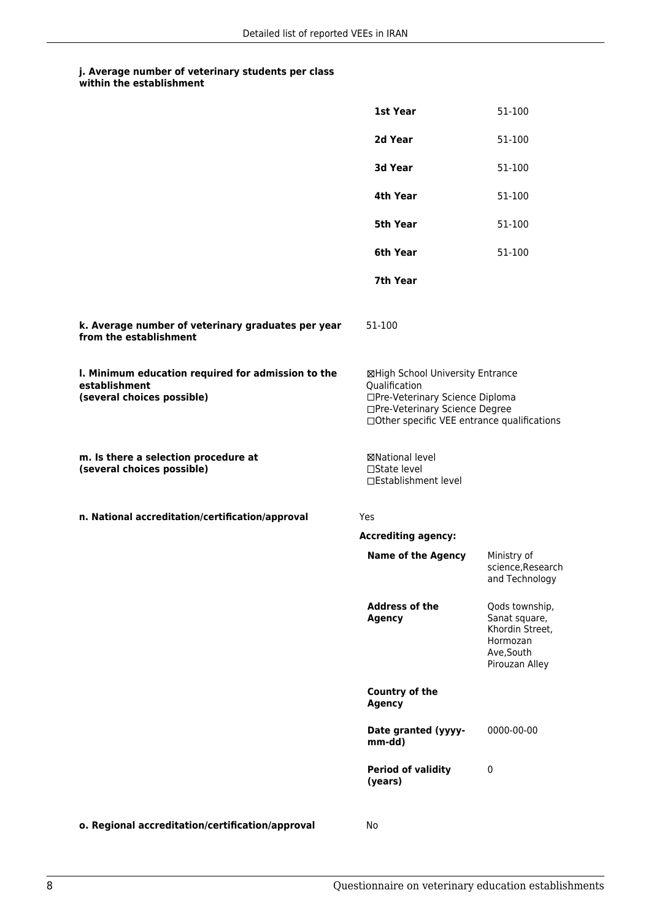|                                                                                                   | 1st Year                                                                                                                                                              | 51-100                                                                                         |
|---------------------------------------------------------------------------------------------------|-----------------------------------------------------------------------------------------------------------------------------------------------------------------------|------------------------------------------------------------------------------------------------|
|                                                                                                   | 2d Year                                                                                                                                                               | 51-100                                                                                         |
|                                                                                                   | 3d Year                                                                                                                                                               | 51-100                                                                                         |
|                                                                                                   | 4th Year                                                                                                                                                              | 51-100                                                                                         |
|                                                                                                   | 5th Year                                                                                                                                                              | 51-100                                                                                         |
|                                                                                                   | 6th Year                                                                                                                                                              | 51-100                                                                                         |
|                                                                                                   | 7th Year                                                                                                                                                              |                                                                                                |
| k. Average number of veterinary graduates per year<br>from the establishment                      | 51-100                                                                                                                                                                |                                                                                                |
| I. Minimum education required for admission to the<br>establishment<br>(several choices possible) | ⊠High School University Entrance<br>Qualification<br>□Pre-Veterinary Science Diploma<br>□Pre-Veterinary Science Degree<br>□Other specific VEE entrance qualifications |                                                                                                |
| m. Is there a selection procedure at<br>(several choices possible)                                | <b>⊠National level</b><br>□State level<br>□Establishment level                                                                                                        |                                                                                                |
| n. National accreditation/certification/approval                                                  | Yes                                                                                                                                                                   |                                                                                                |
|                                                                                                   | <b>Accrediting agency:</b>                                                                                                                                            |                                                                                                |
|                                                                                                   | <b>Name of the Agency</b>                                                                                                                                             | Ministry of<br>science, Research<br>and Technology                                             |
|                                                                                                   | <b>Address of the</b><br><b>Agency</b>                                                                                                                                | Qods township,<br>Sanat square,<br>Khordin Street,<br>Hormozan<br>Ave, South<br>Pirouzan Alley |
|                                                                                                   | <b>Country of the</b><br><b>Agency</b>                                                                                                                                |                                                                                                |
|                                                                                                   | Date granted (yyyy-<br>mm-dd)                                                                                                                                         | 0000-00-00                                                                                     |
|                                                                                                   | <b>Period of validity</b><br>(years)                                                                                                                                  | $\pmb{0}$                                                                                      |
| o. Regional accreditation/certification/approval                                                  | No                                                                                                                                                                    |                                                                                                |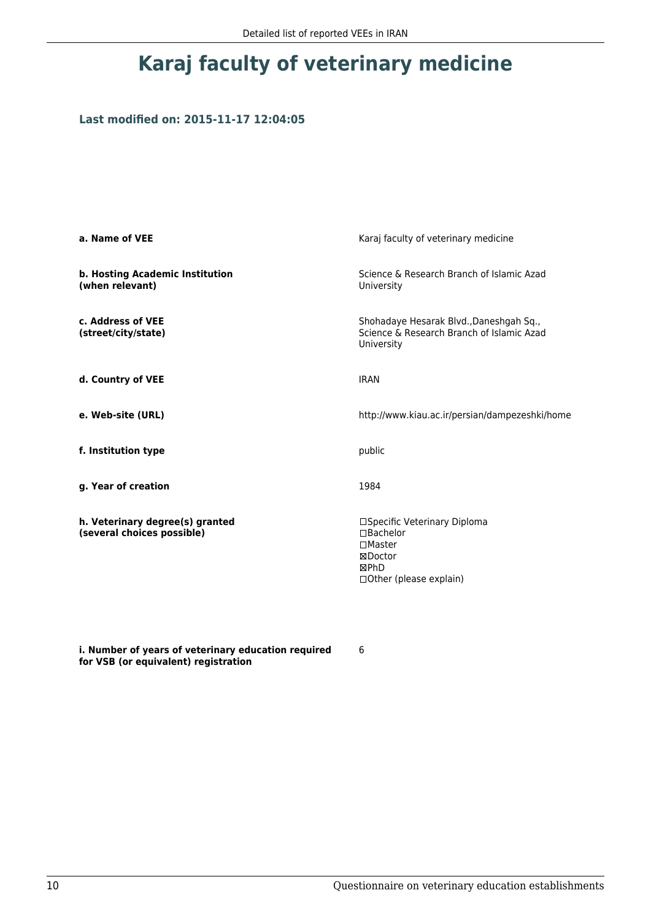# **Karaj faculty of veterinary medicine**

## **Last modified on: 2015-11-17 12:04:05**

| a. Name of VEE                                                | Karaj faculty of veterinary medicine                                                                                       |  |
|---------------------------------------------------------------|----------------------------------------------------------------------------------------------------------------------------|--|
| b. Hosting Academic Institution<br>(when relevant)            | Science & Research Branch of Islamic Azad<br>University                                                                    |  |
| c. Address of VEE<br>(street/city/state)                      | Shohadaye Hesarak Blvd., Daneshgah Sq.,<br>Science & Research Branch of Islamic Azad<br>University                         |  |
| d. Country of VEE                                             | <b>IRAN</b>                                                                                                                |  |
| e. Web-site (URL)                                             | http://www.kiau.ac.ir/persian/dampezeshki/home                                                                             |  |
| f. Institution type                                           | public                                                                                                                     |  |
| g. Year of creation                                           | 1984                                                                                                                       |  |
| h. Veterinary degree(s) granted<br>(several choices possible) | □Specific Veterinary Diploma<br>$\square$ Bachelor<br>$\square$ Master<br>⊠Doctor<br>⊠PhD<br>$\Box$ Other (please explain) |  |

**i. Number of years of veterinary education required for VSB (or equivalent) registration**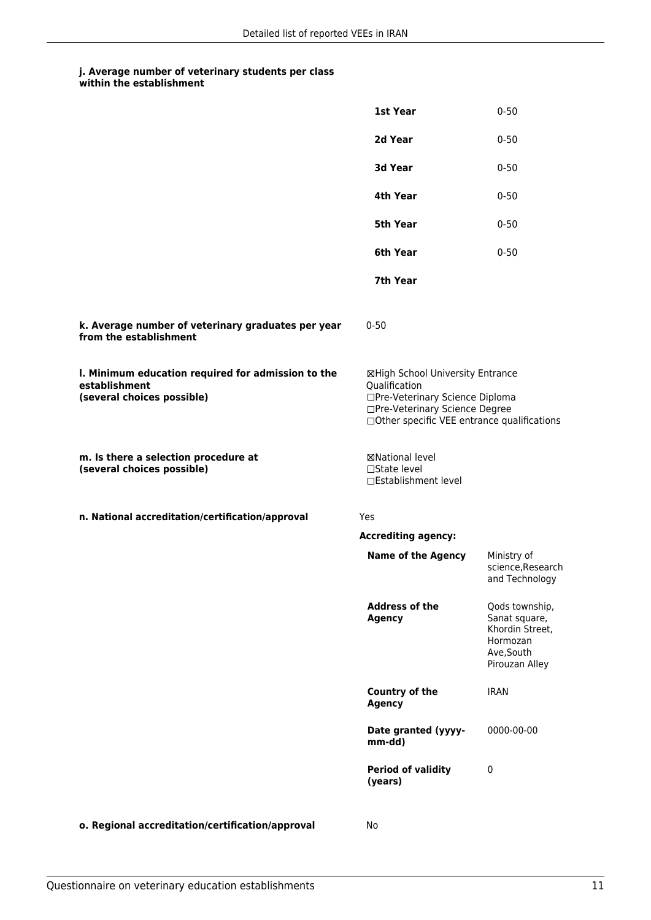|                                                                                                   | 1st Year                                                                                                                                                              | $0 - 50$                                                                                       |
|---------------------------------------------------------------------------------------------------|-----------------------------------------------------------------------------------------------------------------------------------------------------------------------|------------------------------------------------------------------------------------------------|
|                                                                                                   | 2d Year                                                                                                                                                               | $0 - 50$                                                                                       |
|                                                                                                   | 3d Year                                                                                                                                                               | $0 - 50$                                                                                       |
|                                                                                                   | 4th Year                                                                                                                                                              | $0 - 50$                                                                                       |
|                                                                                                   | 5th Year                                                                                                                                                              | $0 - 50$                                                                                       |
|                                                                                                   | 6th Year                                                                                                                                                              | $0 - 50$                                                                                       |
|                                                                                                   | 7th Year                                                                                                                                                              |                                                                                                |
| k. Average number of veterinary graduates per year<br>from the establishment                      | $0 - 50$                                                                                                                                                              |                                                                                                |
| I. Minimum education required for admission to the<br>establishment<br>(several choices possible) | ⊠High School University Entrance<br>Qualification<br>□Pre-Veterinary Science Diploma<br>□Pre-Veterinary Science Degree<br>□Other specific VEE entrance qualifications |                                                                                                |
| m. Is there a selection procedure at<br>(several choices possible)                                | ⊠National level<br>□State level<br>□Establishment level                                                                                                               |                                                                                                |
| n. National accreditation/certification/approval                                                  | Yes                                                                                                                                                                   |                                                                                                |
|                                                                                                   | <b>Accrediting agency:</b>                                                                                                                                            |                                                                                                |
|                                                                                                   | <b>Name of the Agency</b>                                                                                                                                             | Ministry of<br>science, Research<br>and Technology                                             |
|                                                                                                   | <b>Address of the</b><br><b>Agency</b>                                                                                                                                | Qods township,<br>Sanat square,<br>Khordin Street,<br>Hormozan<br>Ave, South<br>Pirouzan Alley |
|                                                                                                   | Country of the<br><b>Agency</b>                                                                                                                                       | <b>IRAN</b>                                                                                    |
|                                                                                                   | Date granted (yyyy-<br>mm-dd)                                                                                                                                         | 0000-00-00                                                                                     |
|                                                                                                   | <b>Period of validity</b><br>(years)                                                                                                                                  | $\mathbf 0$                                                                                    |
| o. Regional accreditation/certification/approval                                                  | No                                                                                                                                                                    |                                                                                                |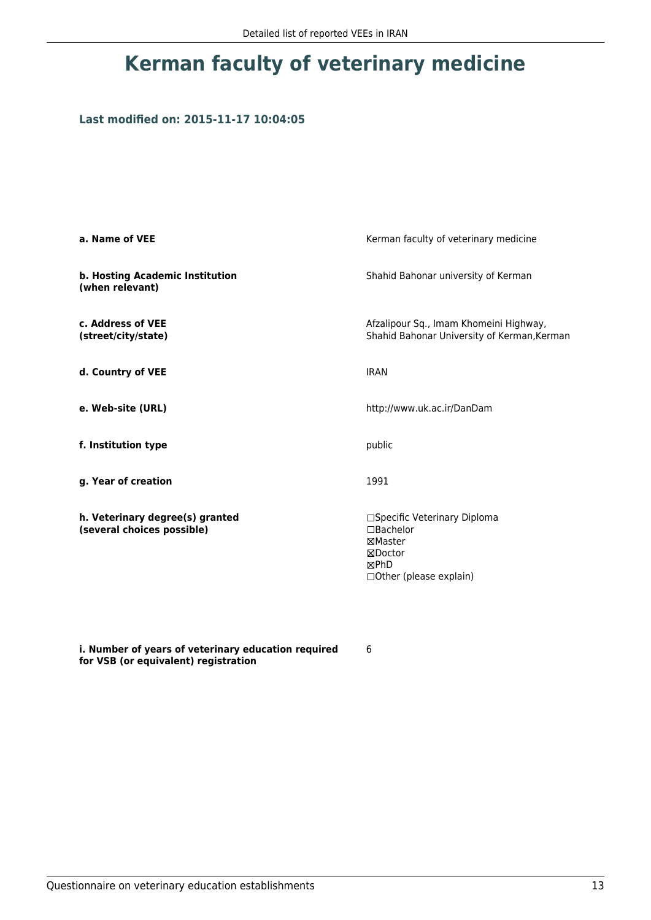# **Kerman faculty of veterinary medicine**

## **Last modified on: 2015-11-17 10:04:05**

| a. Name of VEE                                                | Kerman faculty of veterinary medicine                                                               |  |
|---------------------------------------------------------------|-----------------------------------------------------------------------------------------------------|--|
| b. Hosting Academic Institution<br>(when relevant)            | Shahid Bahonar university of Kerman                                                                 |  |
| c. Address of VEE<br>(street/city/state)                      | Afzalipour Sq., Imam Khomeini Highway,<br>Shahid Bahonar University of Kerman, Kerman               |  |
| d. Country of VEE                                             | <b>IRAN</b>                                                                                         |  |
| e. Web-site (URL)                                             | http://www.uk.ac.ir/DanDam                                                                          |  |
| f. Institution type                                           | public                                                                                              |  |
| g. Year of creation                                           | 1991                                                                                                |  |
| h. Veterinary degree(s) granted<br>(several choices possible) | □Specific Veterinary Diploma<br>□Bachelor<br>⊠Master<br>⊠Doctor<br>⊠PhD<br>□ Other (please explain) |  |

**i. Number of years of veterinary education required for VSB (or equivalent) registration**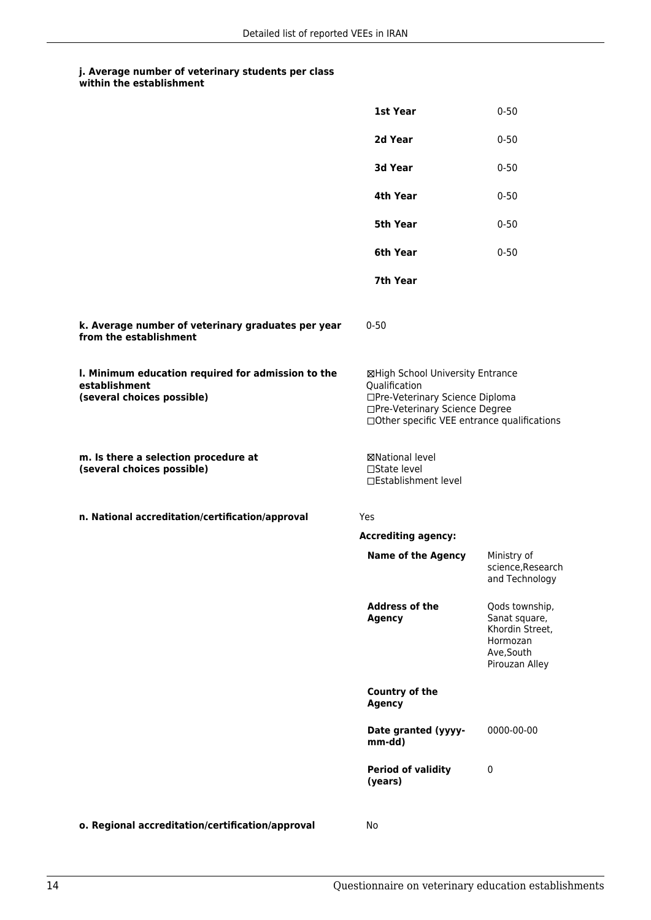|                                                                                                   | 1st Year                                                                                                                                                              | $0 - 50$                                                                                       |
|---------------------------------------------------------------------------------------------------|-----------------------------------------------------------------------------------------------------------------------------------------------------------------------|------------------------------------------------------------------------------------------------|
|                                                                                                   | 2d Year                                                                                                                                                               | $0 - 50$                                                                                       |
|                                                                                                   | 3d Year                                                                                                                                                               | $0 - 50$                                                                                       |
|                                                                                                   | 4th Year                                                                                                                                                              | $0 - 50$                                                                                       |
|                                                                                                   | <b>5th Year</b>                                                                                                                                                       | $0 - 50$                                                                                       |
|                                                                                                   | 6th Year                                                                                                                                                              | $0 - 50$                                                                                       |
|                                                                                                   | 7th Year                                                                                                                                                              |                                                                                                |
| k. Average number of veterinary graduates per year<br>from the establishment                      | $0 - 50$                                                                                                                                                              |                                                                                                |
| I. Minimum education required for admission to the<br>establishment<br>(several choices possible) | ⊠High School University Entrance<br>Qualification<br>□Pre-Veterinary Science Diploma<br>□Pre-Veterinary Science Degree<br>□Other specific VEE entrance qualifications |                                                                                                |
| m. Is there a selection procedure at<br>(several choices possible)                                | ⊠National level<br>□State level<br>□Establishment level                                                                                                               |                                                                                                |
| n. National accreditation/certification/approval                                                  | Yes                                                                                                                                                                   |                                                                                                |
|                                                                                                   | <b>Accrediting agency:</b>                                                                                                                                            |                                                                                                |
|                                                                                                   | <b>Name of the Agency</b>                                                                                                                                             | Ministry of<br>science, Research<br>and Technology                                             |
|                                                                                                   | <b>Address of the</b><br><b>Agency</b>                                                                                                                                | Qods township,<br>Sanat square,<br>Khordin Street,<br>Hormozan<br>Ave, South<br>Pirouzan Alley |
|                                                                                                   | <b>Country of the</b><br><b>Agency</b>                                                                                                                                |                                                                                                |
|                                                                                                   | Date granted (yyyy-<br>mm-dd)                                                                                                                                         | 0000-00-00                                                                                     |
|                                                                                                   | <b>Period of validity</b><br>(years)                                                                                                                                  | $\pmb{0}$                                                                                      |
| o. Regional accreditation/certification/approval                                                  | No                                                                                                                                                                    |                                                                                                |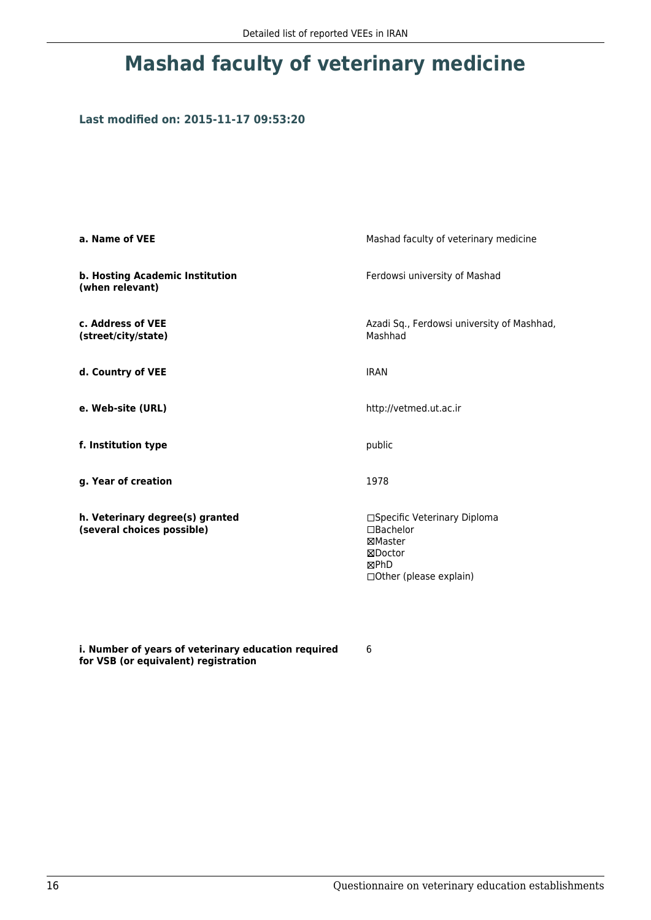# **Mashad faculty of veterinary medicine**

## **Last modified on: 2015-11-17 09:53:20**

| a. Name of VEE                                                | Mashad faculty of veterinary medicine                                                               |  |
|---------------------------------------------------------------|-----------------------------------------------------------------------------------------------------|--|
| b. Hosting Academic Institution<br>(when relevant)            | Ferdowsi university of Mashad                                                                       |  |
| c. Address of VEE<br>(street/city/state)                      | Azadi Sq., Ferdowsi university of Mashhad,<br>Mashhad                                               |  |
| d. Country of VEE                                             | <b>IRAN</b>                                                                                         |  |
| e. Web-site (URL)                                             | http://vetmed.ut.ac.ir                                                                              |  |
| f. Institution type                                           | public                                                                                              |  |
| g. Year of creation                                           | 1978                                                                                                |  |
| h. Veterinary degree(s) granted<br>(several choices possible) | □Specific Veterinary Diploma<br>□Bachelor<br>⊠Master<br>⊠Doctor<br>⊠PhD<br>□ Other (please explain) |  |

**i. Number of years of veterinary education required for VSB (or equivalent) registration**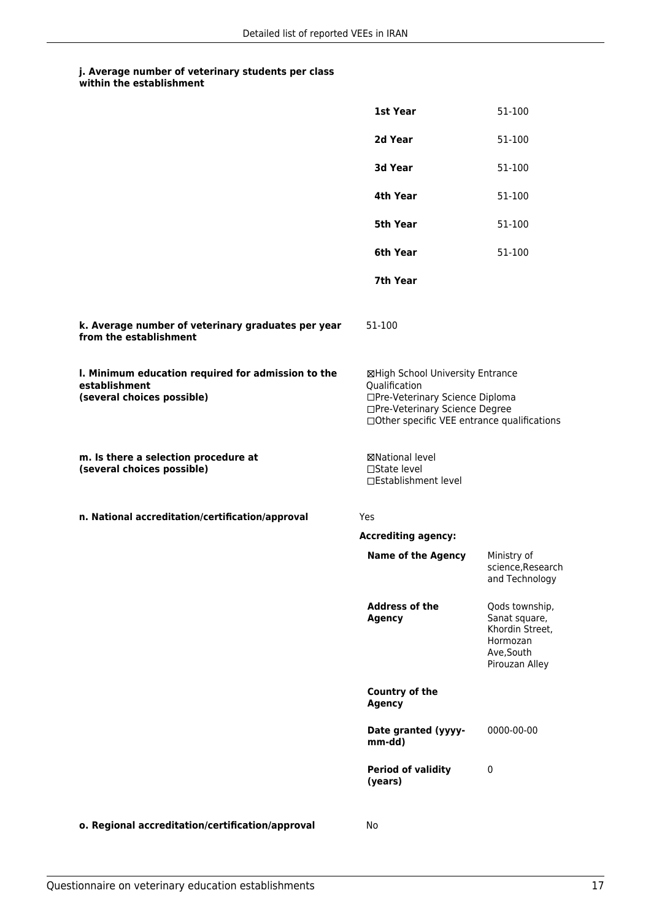|                                                                                                   | 1st Year                                                                                                                                                              | 51-100                                                                                         |
|---------------------------------------------------------------------------------------------------|-----------------------------------------------------------------------------------------------------------------------------------------------------------------------|------------------------------------------------------------------------------------------------|
|                                                                                                   | 2d Year                                                                                                                                                               | 51-100                                                                                         |
|                                                                                                   | 3d Year                                                                                                                                                               | 51-100                                                                                         |
|                                                                                                   | 4th Year                                                                                                                                                              | 51-100                                                                                         |
|                                                                                                   | <b>5th Year</b>                                                                                                                                                       | 51-100                                                                                         |
|                                                                                                   | 6th Year                                                                                                                                                              | 51-100                                                                                         |
|                                                                                                   | 7th Year                                                                                                                                                              |                                                                                                |
| k. Average number of veterinary graduates per year<br>from the establishment                      | 51-100                                                                                                                                                                |                                                                                                |
| I. Minimum education required for admission to the<br>establishment<br>(several choices possible) | ⊠High School University Entrance<br>Qualification<br>□Pre-Veterinary Science Diploma<br>□Pre-Veterinary Science Degree<br>□Other specific VEE entrance qualifications |                                                                                                |
| m. Is there a selection procedure at<br>(several choices possible)                                | <b>⊠National level</b><br>□State level<br>□Establishment level                                                                                                        |                                                                                                |
| n. National accreditation/certification/approval                                                  | Yes                                                                                                                                                                   |                                                                                                |
|                                                                                                   | <b>Accrediting agency:</b>                                                                                                                                            |                                                                                                |
|                                                                                                   | <b>Name of the Agency</b>                                                                                                                                             | Ministry of<br>science, Research<br>and Technology                                             |
|                                                                                                   | <b>Address of the</b><br><b>Agency</b>                                                                                                                                | Qods township,<br>Sanat square,<br>Khordin Street,<br>Hormozan<br>Ave, South<br>Pirouzan Alley |
|                                                                                                   | Country of the<br><b>Agency</b>                                                                                                                                       |                                                                                                |
|                                                                                                   | Date granted (yyyy-<br>mm-dd)                                                                                                                                         | 0000-00-00                                                                                     |
|                                                                                                   | <b>Period of validity</b><br>(years)                                                                                                                                  | $\pmb{0}$                                                                                      |
| o. Regional accreditation/certification/approval                                                  | No                                                                                                                                                                    |                                                                                                |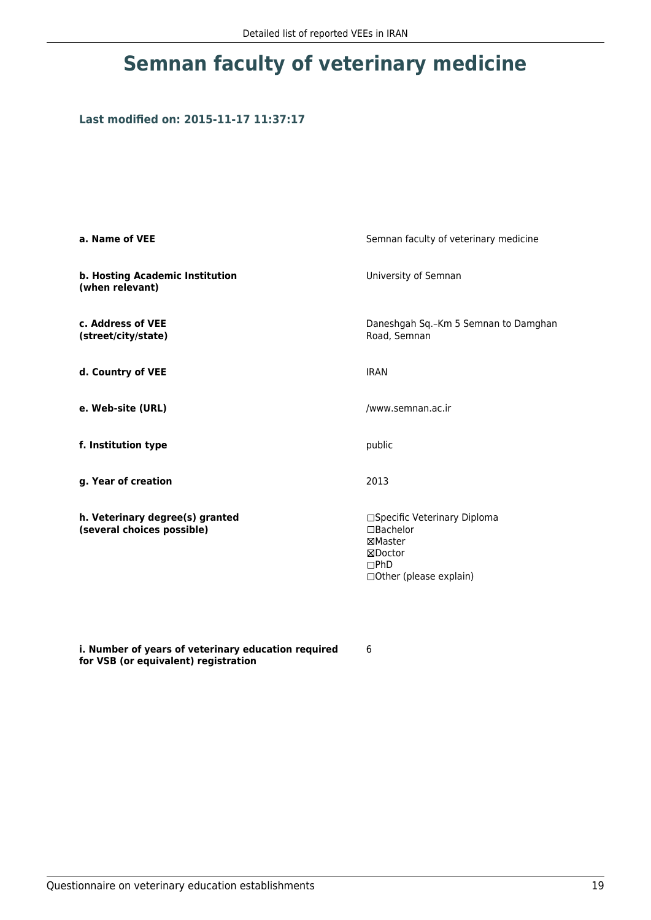# **Semnan faculty of veterinary medicine**

## **Last modified on: 2015-11-17 11:37:17**

| a. Name of VEE                                                | Semnan faculty of veterinary medicine                                                                        |  |
|---------------------------------------------------------------|--------------------------------------------------------------------------------------------------------------|--|
| b. Hosting Academic Institution<br>(when relevant)            | University of Semnan                                                                                         |  |
| c. Address of VEE<br>(street/city/state)                      | Daneshgah Sq.-Km 5 Semnan to Damghan<br>Road, Semnan                                                         |  |
| d. Country of VEE                                             | <b>IRAN</b>                                                                                                  |  |
| e. Web-site (URL)                                             | /www.semnan.ac.ir                                                                                            |  |
| f. Institution type                                           | public                                                                                                       |  |
| g. Year of creation                                           | 2013                                                                                                         |  |
| h. Veterinary degree(s) granted<br>(several choices possible) | □Specific Veterinary Diploma<br>$\square$ Bachelor<br>⊠Master<br>⊠Doctor<br>DPhD<br>□ Other (please explain) |  |

**i. Number of years of veterinary education required for VSB (or equivalent) registration**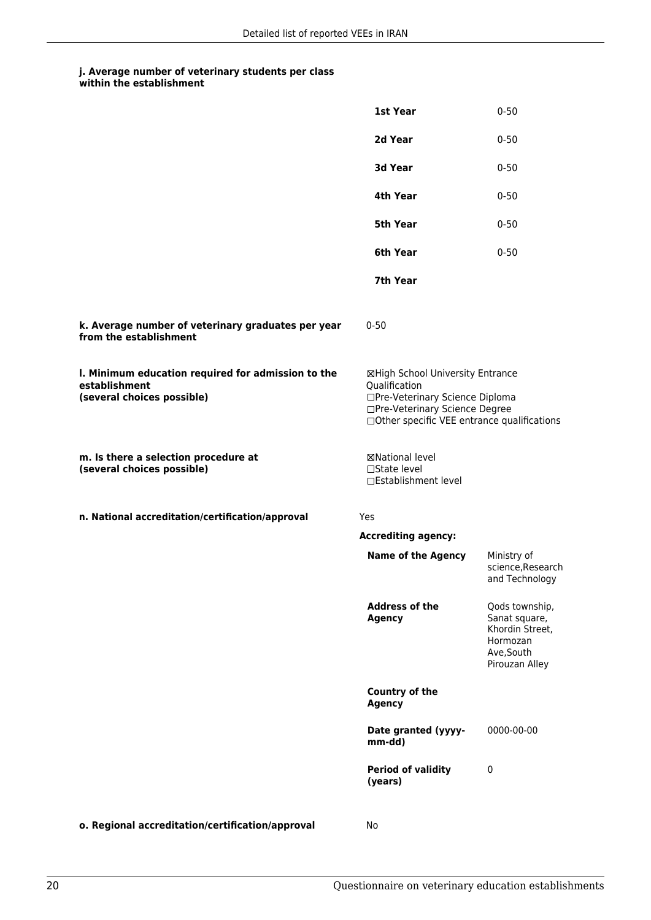|                                                                                                   | 1st Year                                                                                                                                                               | $0 - 50$                                                                                       |
|---------------------------------------------------------------------------------------------------|------------------------------------------------------------------------------------------------------------------------------------------------------------------------|------------------------------------------------------------------------------------------------|
|                                                                                                   | 2d Year                                                                                                                                                                | $0 - 50$                                                                                       |
|                                                                                                   | 3d Year                                                                                                                                                                | $0 - 50$                                                                                       |
|                                                                                                   | 4th Year                                                                                                                                                               | $0 - 50$                                                                                       |
|                                                                                                   | 5th Year                                                                                                                                                               | $0 - 50$                                                                                       |
|                                                                                                   | 6th Year                                                                                                                                                               | $0 - 50$                                                                                       |
|                                                                                                   | 7th Year                                                                                                                                                               |                                                                                                |
| k. Average number of veterinary graduates per year<br>from the establishment                      | $0 - 50$                                                                                                                                                               |                                                                                                |
| I. Minimum education required for admission to the<br>establishment<br>(several choices possible) | ⊠High School University Entrance<br>Qualification<br>□Pre-Veterinary Science Diploma<br>□Pre-Veterinary Science Degree<br>□ Other specific VEE entrance qualifications |                                                                                                |
| m. Is there a selection procedure at<br>(several choices possible)                                | ⊠National level<br>□State level<br>□Establishment level                                                                                                                |                                                                                                |
| n. National accreditation/certification/approval                                                  | Yes                                                                                                                                                                    |                                                                                                |
|                                                                                                   | <b>Accrediting agency:</b>                                                                                                                                             |                                                                                                |
|                                                                                                   | <b>Name of the Agency</b>                                                                                                                                              | Ministry of<br>science, Research<br>and Technology                                             |
|                                                                                                   | <b>Address of the</b><br><b>Agency</b>                                                                                                                                 | Qods township,<br>Sanat square,<br>Khordin Street,<br>Hormozan<br>Ave, South<br>Pirouzan Alley |
|                                                                                                   | <b>Country of the</b><br><b>Agency</b>                                                                                                                                 |                                                                                                |
|                                                                                                   | Date granted (yyyy-<br>mm-dd)                                                                                                                                          | 0000-00-00                                                                                     |
|                                                                                                   | <b>Period of validity</b><br>(years)                                                                                                                                   | $\mathbf 0$                                                                                    |
| o. Regional accreditation/certification/approval                                                  | No                                                                                                                                                                     |                                                                                                |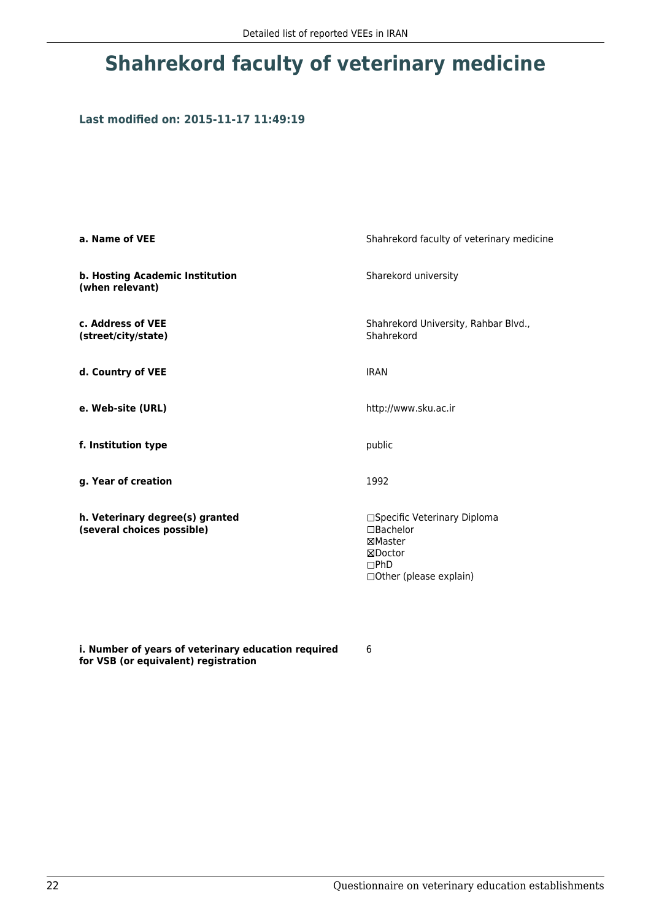# **Shahrekord faculty of veterinary medicine**

## **Last modified on: 2015-11-17 11:49:19**

| a. Name of VEE                                                | Shahrekord faculty of veterinary medicine                                                                 |
|---------------------------------------------------------------|-----------------------------------------------------------------------------------------------------------|
| b. Hosting Academic Institution<br>(when relevant)            | Sharekord university                                                                                      |
| c. Address of VEE<br>(street/city/state)                      | Shahrekord University, Rahbar Blvd.,<br>Shahrekord                                                        |
| d. Country of VEE                                             | <b>IRAN</b>                                                                                               |
| e. Web-site (URL)                                             | http://www.sku.ac.ir                                                                                      |
| f. Institution type                                           | public                                                                                                    |
| g. Year of creation                                           | 1992                                                                                                      |
| h. Veterinary degree(s) granted<br>(several choices possible) | □Specific Veterinary Diploma<br>$\Box$ Bachelor<br>⊠Master<br>⊠Doctor<br>DPhD<br>□ Other (please explain) |

**i. Number of years of veterinary education required for VSB (or equivalent) registration**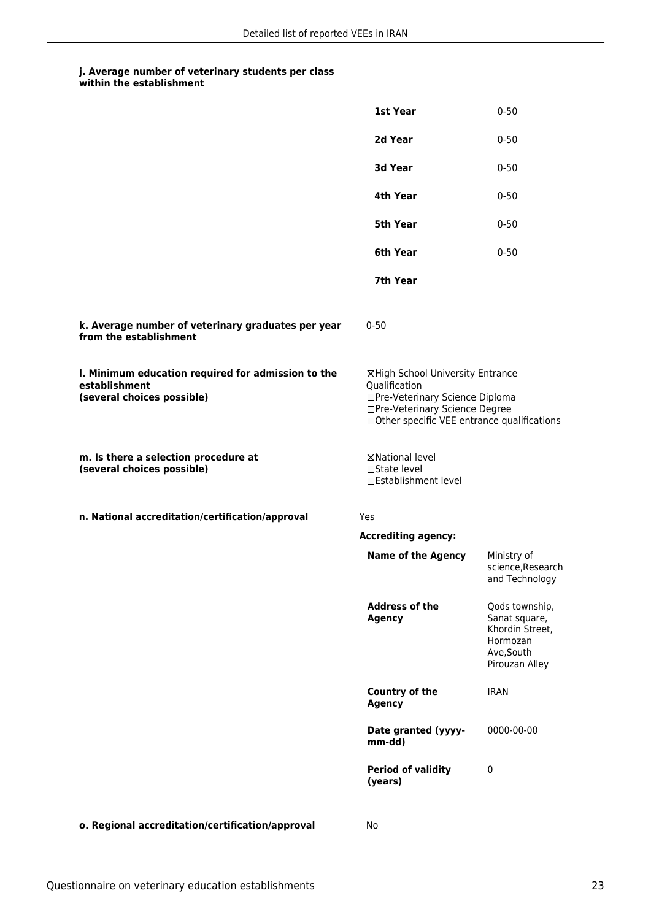|                                                                                                   | 1st Year                                                                                                                                                              | $0 - 50$                                                                                       |
|---------------------------------------------------------------------------------------------------|-----------------------------------------------------------------------------------------------------------------------------------------------------------------------|------------------------------------------------------------------------------------------------|
|                                                                                                   | 2d Year                                                                                                                                                               | $0 - 50$                                                                                       |
|                                                                                                   | 3d Year                                                                                                                                                               | $0 - 50$                                                                                       |
|                                                                                                   | 4th Year                                                                                                                                                              | $0 - 50$                                                                                       |
|                                                                                                   | 5th Year                                                                                                                                                              | $0 - 50$                                                                                       |
|                                                                                                   | 6th Year                                                                                                                                                              | $0 - 50$                                                                                       |
|                                                                                                   | 7th Year                                                                                                                                                              |                                                                                                |
| k. Average number of veterinary graduates per year<br>from the establishment                      | $0 - 50$                                                                                                                                                              |                                                                                                |
| I. Minimum education required for admission to the<br>establishment<br>(several choices possible) | ⊠High School University Entrance<br>Qualification<br>□Pre-Veterinary Science Diploma<br>□Pre-Veterinary Science Degree<br>□Other specific VEE entrance qualifications |                                                                                                |
| m. Is there a selection procedure at<br>(several choices possible)                                | ⊠National level<br>□State level<br>□Establishment level                                                                                                               |                                                                                                |
| n. National accreditation/certification/approval                                                  | Yes                                                                                                                                                                   |                                                                                                |
|                                                                                                   | <b>Accrediting agency:</b>                                                                                                                                            |                                                                                                |
|                                                                                                   | <b>Name of the Agency</b>                                                                                                                                             | Ministry of<br>science, Research<br>and Technology                                             |
|                                                                                                   | <b>Address of the</b><br><b>Agency</b>                                                                                                                                | Qods township,<br>Sanat square,<br>Khordin Street,<br>Hormozan<br>Ave, South<br>Pirouzan Alley |
|                                                                                                   | <b>Country of the</b><br><b>Agency</b>                                                                                                                                | <b>IRAN</b>                                                                                    |
|                                                                                                   | Date granted (yyyy-<br>mm-dd)                                                                                                                                         | 0000-00-00                                                                                     |
|                                                                                                   | <b>Period of validity</b><br>(years)                                                                                                                                  | $\mathbf 0$                                                                                    |
| o. Regional accreditation/certification/approval                                                  | No                                                                                                                                                                    |                                                                                                |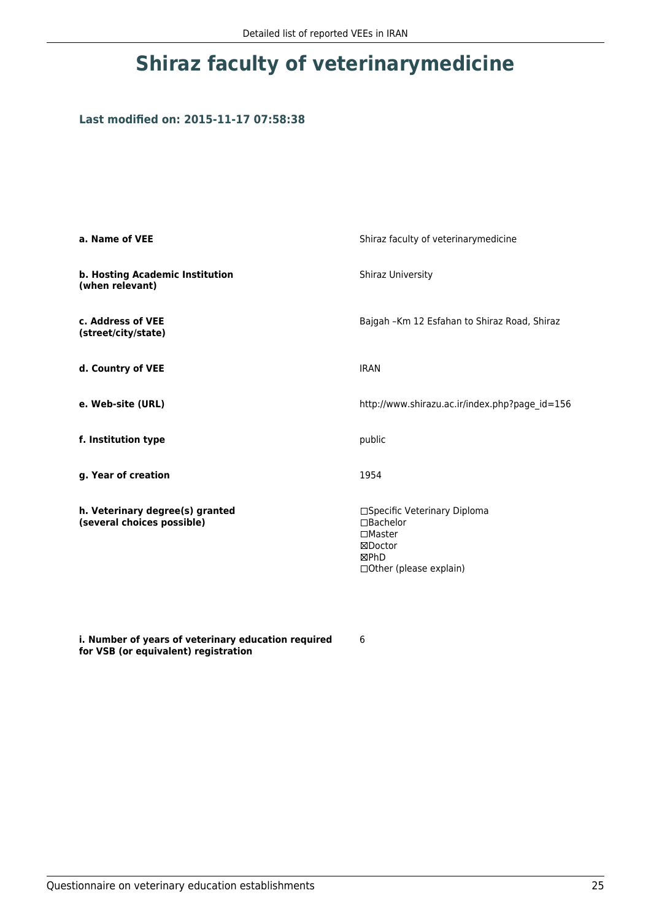# **Shiraz faculty of veterinarymedicine**

## **Last modified on: 2015-11-17 07:58:38**

| a. Name of VEE                                                | Shiraz faculty of veterinarymedicine                                                                         |  |
|---------------------------------------------------------------|--------------------------------------------------------------------------------------------------------------|--|
| b. Hosting Academic Institution<br>(when relevant)            | <b>Shiraz University</b>                                                                                     |  |
| c. Address of VEE<br>(street/city/state)                      | Bajgah - Km 12 Esfahan to Shiraz Road, Shiraz                                                                |  |
| d. Country of VEE                                             | <b>IRAN</b>                                                                                                  |  |
| e. Web-site (URL)                                             | http://www.shirazu.ac.ir/index.php?page id=156                                                               |  |
| f. Institution type                                           | public                                                                                                       |  |
| g. Year of creation                                           | 1954                                                                                                         |  |
| h. Veterinary degree(s) granted<br>(several choices possible) | □Specific Veterinary Diploma<br>□Bachelor<br>$\square$ Master<br>⊠Doctor<br>⊠PhD<br>□ Other (please explain) |  |

**i. Number of years of veterinary education required for VSB (or equivalent) registration**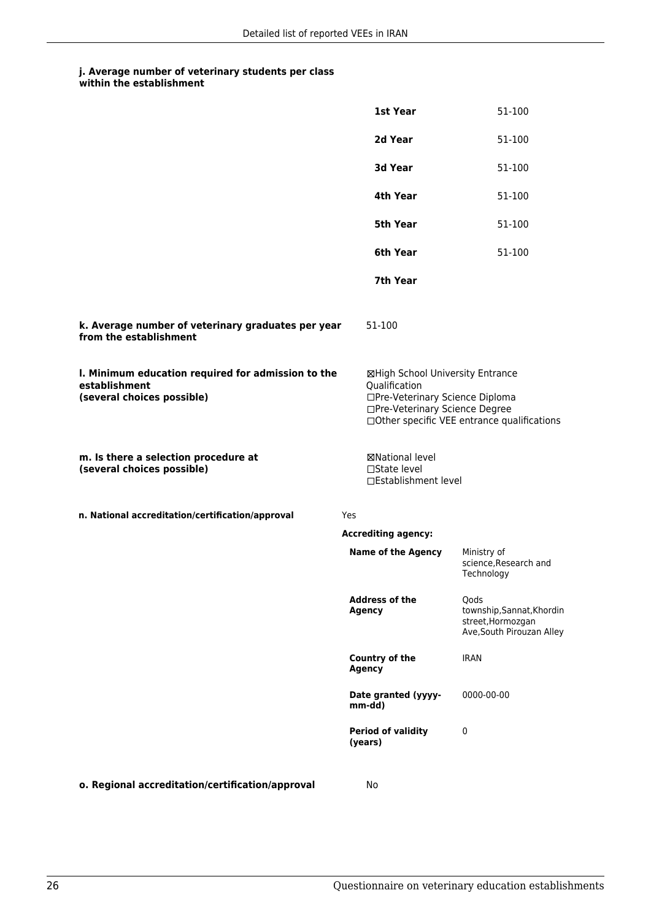|                                                                                                   | 1st Year                                                                                                                                                              | 51-100                                                                              |
|---------------------------------------------------------------------------------------------------|-----------------------------------------------------------------------------------------------------------------------------------------------------------------------|-------------------------------------------------------------------------------------|
|                                                                                                   | 2d Year                                                                                                                                                               | 51-100                                                                              |
|                                                                                                   | <b>3d Year</b>                                                                                                                                                        | 51-100                                                                              |
|                                                                                                   | 4th Year                                                                                                                                                              | 51-100                                                                              |
|                                                                                                   | 5th Year                                                                                                                                                              | 51-100                                                                              |
|                                                                                                   | 6th Year                                                                                                                                                              | 51-100                                                                              |
|                                                                                                   | 7th Year                                                                                                                                                              |                                                                                     |
| k. Average number of veterinary graduates per year<br>from the establishment                      | 51-100                                                                                                                                                                |                                                                                     |
| I. Minimum education required for admission to the<br>establishment<br>(several choices possible) | ⊠High School University Entrance<br>Qualification<br>□Pre-Veterinary Science Diploma<br>□Pre-Veterinary Science Degree<br>□Other specific VEE entrance qualifications |                                                                                     |
| m. Is there a selection procedure at<br>(several choices possible)                                | <b>⊠National level</b><br>$\Box$ State level<br>□Establishment level                                                                                                  |                                                                                     |
| n. National accreditation/certification/approval                                                  | Yes                                                                                                                                                                   |                                                                                     |
|                                                                                                   | <b>Accrediting agency:</b>                                                                                                                                            |                                                                                     |
|                                                                                                   | <b>Name of the Agency</b>                                                                                                                                             | Ministry of<br>science, Research and<br>Technology                                  |
|                                                                                                   | <b>Address of the</b><br><b>Agency</b>                                                                                                                                | Qods<br>township, Sannat, Khordin<br>street, Hormozgan<br>Ave, South Pirouzan Alley |
|                                                                                                   | Country of the<br><b>Agency</b>                                                                                                                                       | <b>IRAN</b>                                                                         |
|                                                                                                   | Date granted (yyyy-<br>mm-dd)                                                                                                                                         | 0000-00-00                                                                          |
|                                                                                                   | <b>Period of validity</b><br>(years)                                                                                                                                  | 0                                                                                   |
| o. Regional accreditation/certification/approval                                                  | No                                                                                                                                                                    |                                                                                     |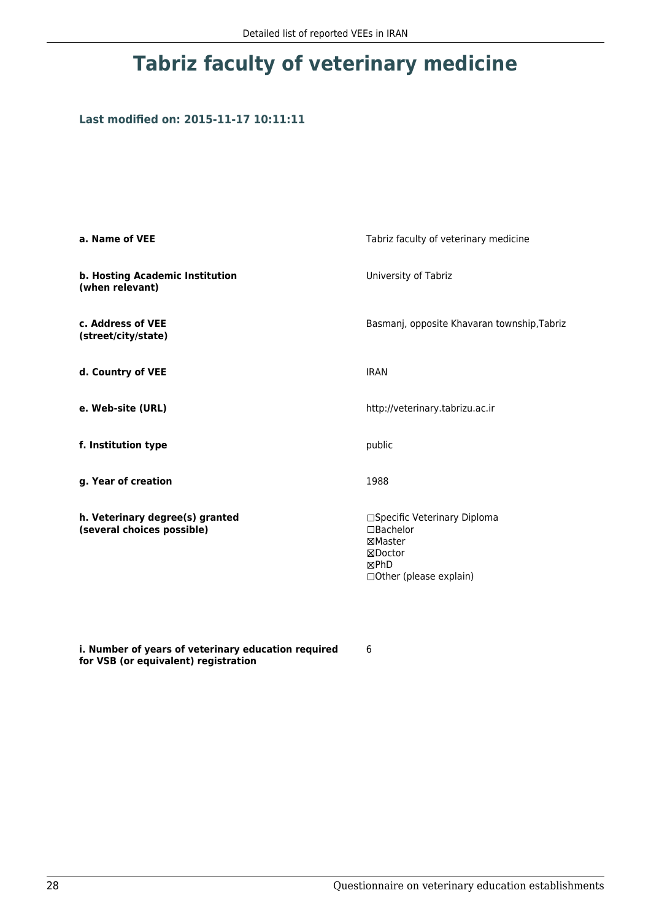# **Tabriz faculty of veterinary medicine**

## **Last modified on: 2015-11-17 10:11:11**

| a. Name of VEE                                                | Tabriz faculty of veterinary medicine                                                               |  |
|---------------------------------------------------------------|-----------------------------------------------------------------------------------------------------|--|
| b. Hosting Academic Institution<br>(when relevant)            | University of Tabriz                                                                                |  |
| c. Address of VEE<br>(street/city/state)                      | Basmanj, opposite Khavaran township, Tabriz                                                         |  |
| d. Country of VEE                                             | <b>IRAN</b>                                                                                         |  |
| e. Web-site (URL)                                             | http://veterinary.tabrizu.ac.ir                                                                     |  |
| f. Institution type                                           | public                                                                                              |  |
| g. Year of creation                                           | 1988                                                                                                |  |
| h. Veterinary degree(s) granted<br>(several choices possible) | □Specific Veterinary Diploma<br>□Bachelor<br>⊠Master<br>⊠Doctor<br>⊠PhD<br>□ Other (please explain) |  |

**i. Number of years of veterinary education required for VSB (or equivalent) registration**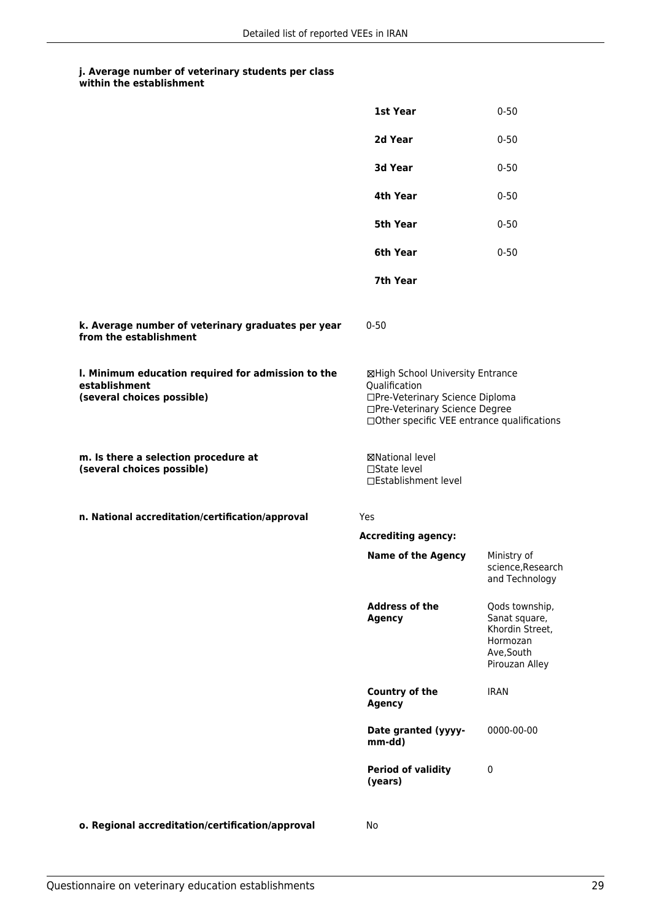|                                                                                                   | 1st Year                                                                                                                                                              | $0 - 50$                                                                                       |
|---------------------------------------------------------------------------------------------------|-----------------------------------------------------------------------------------------------------------------------------------------------------------------------|------------------------------------------------------------------------------------------------|
|                                                                                                   | 2d Year                                                                                                                                                               | $0 - 50$                                                                                       |
|                                                                                                   | 3d Year                                                                                                                                                               | $0 - 50$                                                                                       |
|                                                                                                   | 4th Year                                                                                                                                                              | $0 - 50$                                                                                       |
|                                                                                                   | <b>5th Year</b>                                                                                                                                                       | $0 - 50$                                                                                       |
|                                                                                                   | 6th Year                                                                                                                                                              | $0 - 50$                                                                                       |
|                                                                                                   | 7th Year                                                                                                                                                              |                                                                                                |
| k. Average number of veterinary graduates per year<br>from the establishment                      | $0 - 50$                                                                                                                                                              |                                                                                                |
| I. Minimum education required for admission to the<br>establishment<br>(several choices possible) | ⊠High School University Entrance<br>Qualification<br>□Pre-Veterinary Science Diploma<br>□Pre-Veterinary Science Degree<br>□Other specific VEE entrance qualifications |                                                                                                |
| m. Is there a selection procedure at<br>(several choices possible)                                | ⊠National level<br>□State level<br>□Establishment level                                                                                                               |                                                                                                |
| n. National accreditation/certification/approval                                                  | Yes                                                                                                                                                                   |                                                                                                |
|                                                                                                   | <b>Accrediting agency:</b>                                                                                                                                            |                                                                                                |
|                                                                                                   | <b>Name of the Agency</b>                                                                                                                                             | Ministry of<br>science, Research<br>and Technology                                             |
|                                                                                                   | <b>Address of the</b><br><b>Agency</b>                                                                                                                                | Qods township,<br>Sanat square,<br>Khordin Street,<br>Hormozan<br>Ave, South<br>Pirouzan Alley |
|                                                                                                   | <b>Country of the</b><br><b>Agency</b>                                                                                                                                | <b>IRAN</b>                                                                                    |
|                                                                                                   | Date granted (yyyy-<br>mm-dd)                                                                                                                                         | 0000-00-00                                                                                     |
|                                                                                                   | <b>Period of validity</b><br>(years)                                                                                                                                  | $\mathbf 0$                                                                                    |
| o. Regional accreditation/certification/approval                                                  | No                                                                                                                                                                    |                                                                                                |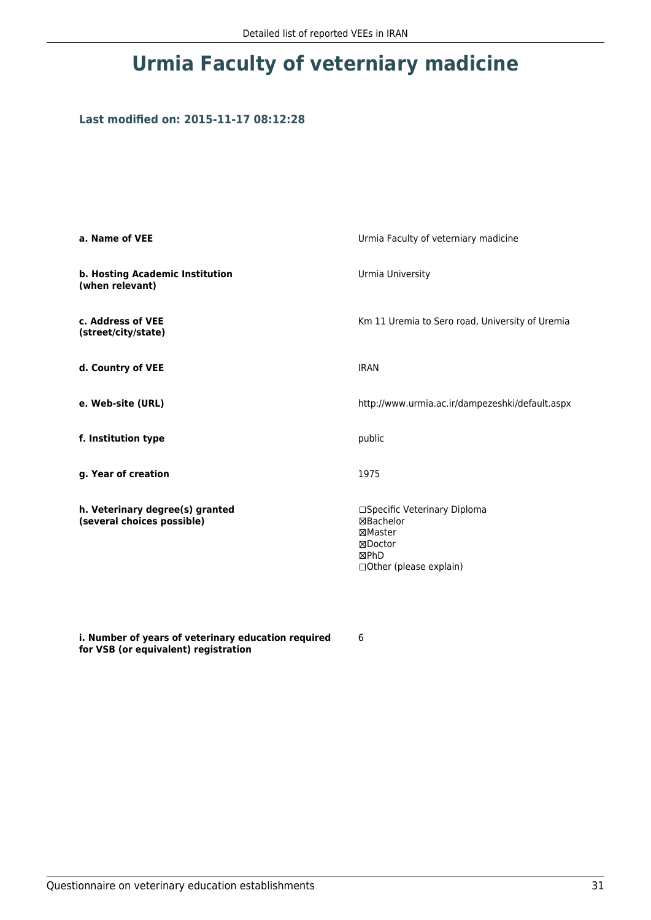# **Urmia Faculty of veterniary madicine**

## **Last modified on: 2015-11-17 08:12:28**

| a. Name of VEE                                                | Urmia Faculty of veterniary madicine                                                                       |  |
|---------------------------------------------------------------|------------------------------------------------------------------------------------------------------------|--|
| b. Hosting Academic Institution<br>(when relevant)            | Urmia University                                                                                           |  |
| c. Address of VEE<br>(street/city/state)                      | Km 11 Uremia to Sero road, University of Uremia                                                            |  |
| d. Country of VEE                                             | <b>IRAN</b>                                                                                                |  |
| e. Web-site (URL)                                             | http://www.urmia.ac.ir/dampezeshki/default.aspx                                                            |  |
| f. Institution type                                           | public                                                                                                     |  |
| g. Year of creation                                           | 1975                                                                                                       |  |
| h. Veterinary degree(s) granted<br>(several choices possible) | □Specific Veterinary Diploma<br>⊠Bachelor<br>⊠Master<br>⊠Doctor<br><b>MPhD</b><br>□ Other (please explain) |  |

**i. Number of years of veterinary education required for VSB (or equivalent) registration**